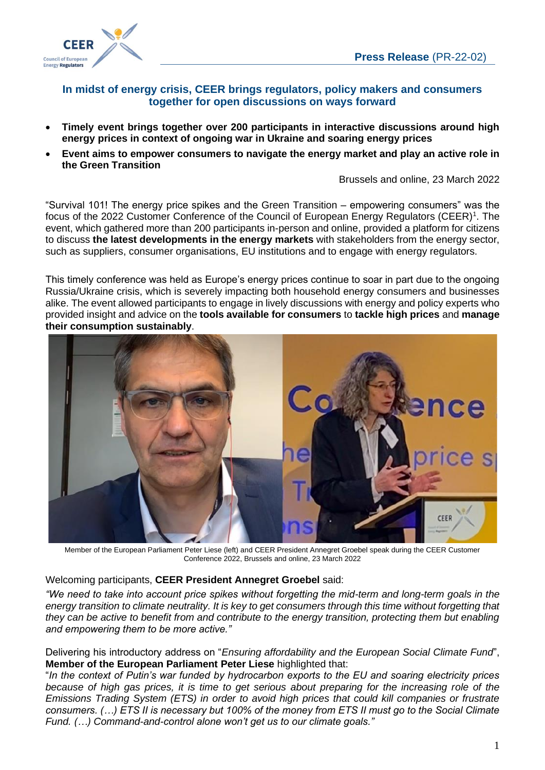

## **In midst of energy crisis, CEER brings regulators, policy makers and consumers together for open discussions on ways forward**

- **Timely event brings together over 200 participants in interactive discussions around high energy prices in context of ongoing war in Ukraine and soaring energy prices**
- **Event aims to empower consumers to navigate the energy market and play an active role in the Green Transition**

Brussels and online, 23 March 2022

"Survival 101! The energy price spikes and the Green Transition – empowering consumers" was the focus of the 2022 Customer Conference of the Council of European Energy Regulators (CEER[\)](#page-1-0)<sup>1</sup>[.](#page-1-0) The event, which gathered more than 200 participants in-person and online, provided a platform for citizens to discuss **the latest developments in the energy markets** with stakeholders from the energy sector, such as suppliers, consumer organisations, EU institutions and to engage with energy regulators.

This timely conference was held as Europe's energy prices continue to soar in part due to the ongoing Russia/Ukraine crisis, which is severely impacting both household energy consumers and businesses alike. The event allowed participants to engage in lively discussions with energy and policy experts who provided insight and advice on the **tools available for consumers** to **tackle high prices** and **manage their consumption sustainably**.



Member of the European Parliament Peter Liese (left) and CEER President Annegret Groebel speak during the CEER Customer Conference 2022, Brussels and online, 23 March 2022

Welcoming participants, **CEER President Annegret Groebel** said:

*"We need to take into account price spikes without forgetting the mid-term and long-term goals in the energy transition to climate neutrality. It is key to get consumers through this time without forgetting that they can be active to benefit from and contribute to the energy transition, protecting them but enabling and empowering them to be more active."*

Delivering his introductory address on "*Ensuring affordability and the European Social Climate Fund*", **Member of the European Parliament Peter Liese** highlighted that:

"*In the context of Putin's war funded by hydrocarbon exports to the EU and soaring electricity prices because of high gas prices, it is time to get serious about preparing for the increasing role of the Emissions Trading System (ETS) in order to avoid high prices that could kill companies or frustrate consumers. (…) ETS II is necessary but 100% of the money from ETS II must go to the Social Climate Fund. (…) Command-and-control alone won't get us to our climate goals."*